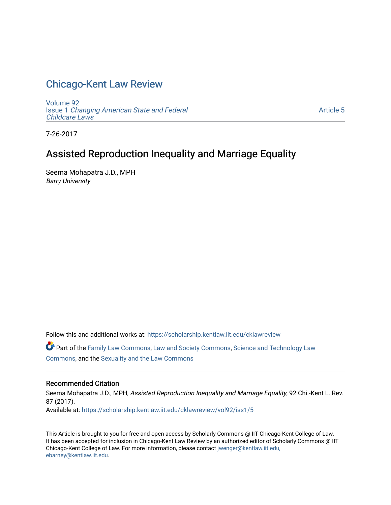# [Chicago-Kent Law Review](https://scholarship.kentlaw.iit.edu/cklawreview)

[Volume 92](https://scholarship.kentlaw.iit.edu/cklawreview/vol92) Issue 1 [Changing American State and Federal](https://scholarship.kentlaw.iit.edu/cklawreview/vol92/iss1)  [Childcare Laws](https://scholarship.kentlaw.iit.edu/cklawreview/vol92/iss1) 

[Article 5](https://scholarship.kentlaw.iit.edu/cklawreview/vol92/iss1/5) 

7-26-2017

# Assisted Reproduction Inequality and Marriage Equality

Seema Mohapatra J.D., MPH Barry University

Follow this and additional works at: [https://scholarship.kentlaw.iit.edu/cklawreview](https://scholarship.kentlaw.iit.edu/cklawreview?utm_source=scholarship.kentlaw.iit.edu%2Fcklawreview%2Fvol92%2Fiss1%2F5&utm_medium=PDF&utm_campaign=PDFCoverPages) 

Part of the [Family Law Commons,](http://network.bepress.com/hgg/discipline/602?utm_source=scholarship.kentlaw.iit.edu%2Fcklawreview%2Fvol92%2Fiss1%2F5&utm_medium=PDF&utm_campaign=PDFCoverPages) [Law and Society Commons](http://network.bepress.com/hgg/discipline/853?utm_source=scholarship.kentlaw.iit.edu%2Fcklawreview%2Fvol92%2Fiss1%2F5&utm_medium=PDF&utm_campaign=PDFCoverPages), [Science and Technology Law](http://network.bepress.com/hgg/discipline/875?utm_source=scholarship.kentlaw.iit.edu%2Fcklawreview%2Fvol92%2Fiss1%2F5&utm_medium=PDF&utm_campaign=PDFCoverPages) [Commons](http://network.bepress.com/hgg/discipline/875?utm_source=scholarship.kentlaw.iit.edu%2Fcklawreview%2Fvol92%2Fiss1%2F5&utm_medium=PDF&utm_campaign=PDFCoverPages), and the [Sexuality and the Law Commons](http://network.bepress.com/hgg/discipline/877?utm_source=scholarship.kentlaw.iit.edu%2Fcklawreview%2Fvol92%2Fiss1%2F5&utm_medium=PDF&utm_campaign=PDFCoverPages)

## Recommended Citation

Seema Mohapatra J.D., MPH, Assisted Reproduction Inequality and Marriage Equality, 92 Chi.-Kent L. Rev. 87 (2017). Available at: [https://scholarship.kentlaw.iit.edu/cklawreview/vol92/iss1/5](https://scholarship.kentlaw.iit.edu/cklawreview/vol92/iss1/5?utm_source=scholarship.kentlaw.iit.edu%2Fcklawreview%2Fvol92%2Fiss1%2F5&utm_medium=PDF&utm_campaign=PDFCoverPages)

This Article is brought to you for free and open access by Scholarly Commons @ IIT Chicago-Kent College of Law. It has been accepted for inclusion in Chicago-Kent Law Review by an authorized editor of Scholarly Commons @ IIT Chicago-Kent College of Law. For more information, please contact [jwenger@kentlaw.iit.edu,](mailto:jwenger@kentlaw.iit.edu,%20ebarney@kentlaw.iit.edu) [ebarney@kentlaw.iit.edu](mailto:jwenger@kentlaw.iit.edu,%20ebarney@kentlaw.iit.edu).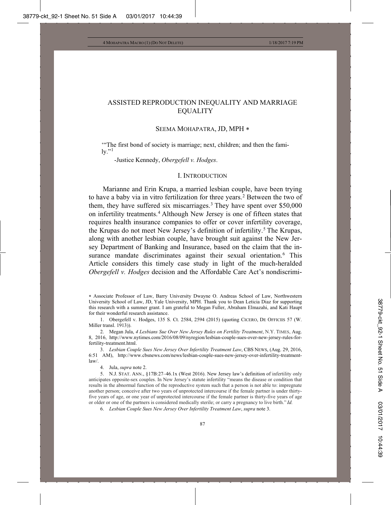## ASSISTED REPRODUCTION INEQUALITY AND MARRIAGE EQUALITY

#### SEEMA MOHAPATRA, JD, MPH

'"The first bond of society is marriage; next, children; and then the fami- $\mathrm{lv.}^{\cdot\cdot\cdot 1}$ 

-Justice Kennedy, *Obergefell v. Hodges*.

## I. INTRODUCTION

Marianne and Erin Krupa, a married lesbian couple, have been trying to have a baby via in vitro fertilization for three years.<sup>2</sup> Between the two of them, they have suffered six miscarriages.3 They have spent over \$50,000 on infertility treatments.4 Although New Jersey is one of fifteen states that requires health insurance companies to offer or cover infertility coverage, the Krupas do not meet New Jersey's definition of infertility.<sup>5</sup> The Krupas, along with another lesbian couple, have brought suit against the New Jersey Department of Banking and Insurance, based on the claim that the insurance mandate discriminates against their sexual orientation.<sup>6</sup> This Article considers this timely case study in light of the much-heralded *Obergefell v. Hodges* decision and the Affordable Care Act's nondiscrimi-

6. *Lesbian Couple Sues New Jersey Over Infertility Treatment Law*, *supra* note 3.

 Associate Professor of Law, Barry University Dwayne O. Andreas School of Law, Northwestern University School of Law, JD, Yale University, MPH. Thank you to Dean Leticia Diaz for supporting this research with a summer grant. I am grateful to Megan Fuller, Abraham Elmazahi, and Kati Haupt for their wonderful research assistance.

<sup>1.</sup> Obergefell v. Hodges, 135 S. Ct. 2584, 2594 (2015) (quoting CICERO, DE OFFICIIS 57 (W. Miller transl. 1913)).

<sup>2.</sup> Megan Jula, *4 Lesbians Sue Over New Jersey Rules on Fertility Treatment*, N.Y. TIMES, Aug. 8, 2016, http://www.nytimes.com/2016/08/09/nyregion/lesbian-couple-sues-over-new-jersey-rules-forfertility-treatment.html.

<sup>3.</sup> *Lesbian Couple Sues New Jersey Over Infertility Treatment Law*, CBS NEWS, (Aug. 29, 2016, 6:51 AM), http://www.cbsnews.com/news/lesbian-couple-sues-new-jersey-over-infertility-treatmentlaw/.

<sup>4.</sup> Jula, *supra* note 2.

<sup>5.</sup> N.J. STAT. ANN., §17B:27–46.1x (West 2016). New Jersey law's definition of infertility only anticipates opposite-sex couples. In New Jersey's statute infertility "means the disease or condition that results in the abnormal function of the reproductive system such that a person is not able to: impregnate another person; conceive after two years of unprotected intercourse if the female partner is under thirtyfive years of age, or one year of unprotected intercourse if the female partner is thirty-five years of age or older or one of the partners is considered medically sterile; or carry a pregnancy to live birth." *Id.*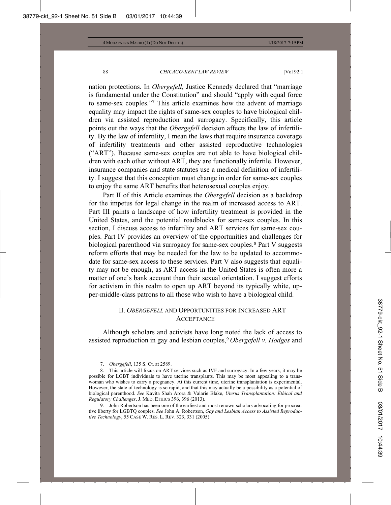nation protections. In *Obergefell,* Justice Kennedy declared that "marriage is fundamental under the Constitution" and should "apply with equal force to same-sex couples."7 This article examines how the advent of marriage equality may impact the rights of same-sex couples to have biological children via assisted reproduction and surrogacy. Specifically, this article points out the ways that the *Obergefell* decision affects the law of infertility. By the law of infertility, I mean the laws that require insurance coverage of infertility treatments and other assisted reproductive technologies ("ART"). Because same-sex couples are not able to have biological children with each other without ART, they are functionally infertile. However, insurance companies and state statutes use a medical definition of infertility. I suggest that this conception must change in order for same-sex couples to enjoy the same ART benefits that heterosexual couples enjoy.

Part II of this Article examines the *Obergefell* decision as a backdrop for the impetus for legal change in the realm of increased access to ART. Part III paints a landscape of how infertility treatment is provided in the United States, and the potential roadblocks for same-sex couples. In this section, I discuss access to infertility and ART services for same-sex couples. Part IV provides an overview of the opportunities and challenges for biological parenthood via surrogacy for same-sex couples.<sup>8</sup> Part V suggests reform efforts that may be needed for the law to be updated to accommodate for same-sex access to these services. Part V also suggests that equality may not be enough, as ART access in the United States is often more a matter of one's bank account than their sexual orientation. I suggest efforts for activism in this realm to open up ART beyond its typically white, upper-middle-class patrons to all those who wish to have a biological child.

## II. *OBERGEFELL* AND OPPORTUNITIES FOR INCREASED ART **ACCEPTANCE**

Although scholars and activists have long noted the lack of access to assisted reproduction in gay and lesbian couples,9 *Obergefell v. Hodges* and

7. *Obergefell*, 135 S. Ct. at 2589.

9. John Robertson has been one of the earliest and most renown scholars advocating for procreative liberty for LGBTQ couples. *See* John A. Robertson, *Gay and Lesbian Access to Assisted Reproductive Technology*, 55 CASE W. RES. L. REV. 323, 331 (2005).

<sup>8.</sup> This article will focus on ART services such as IVF and surrogacy. In a few years, it may be possible for LGBT individuals to have uterine transplants. This may be most appealing to a transwoman who wishes to carry a pregnancy. At this current time, uterine transplantation is experimental. However, the state of technology is so rapid, and that this may actually be a possibility as a potential of biological parenthood. *See* Kavita Shah Arora & Valarie Blake, *Uterus Transplantation: Ethical and Regulatory Challenges*, J. MED. ETHICS 396, 396 (2013).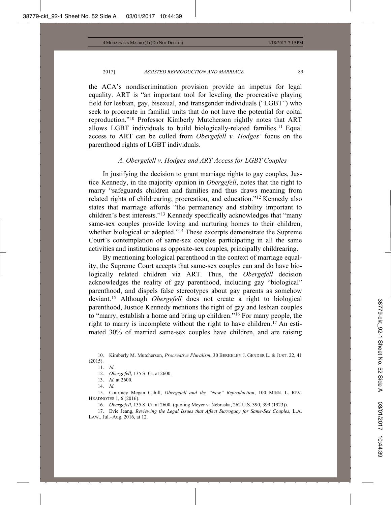the ACA's nondiscrimination provision provide an impetus for legal equality. ART is "an important tool for leveling the procreative playing field for lesbian, gay, bisexual, and transgender individuals ("LGBT") who seek to procreate in familial units that do not have the potential for coital reproduction."10 Professor Kimberly Mutcherson rightly notes that ART allows LGBT individuals to build biologically-related families.<sup>11</sup> Equal access to ART can be culled from *Obergefell v. Hodges'* focus on the parenthood rights of LGBT individuals.

### *A. Obergefell v. Hodges and ART Access for LGBT Couples*

In justifying the decision to grant marriage rights to gay couples, Justice Kennedy, in the majority opinion in *Obergefell*, notes that the right to marry "safeguards children and families and thus draws meaning from related rights of childrearing, procreation, and education."12 Kennedy also states that marriage affords "the permanency and stability important to children's best interests."13 Kennedy specifically acknowledges that "many same-sex couples provide loving and nurturing homes to their children, whether biological or adopted."<sup>14</sup> These excerpts demonstrate the Supreme Court's contemplation of same-sex couples participating in all the same activities and institutions as opposite-sex couples, principally childrearing.

By mentioning biological parenthood in the context of marriage equality, the Supreme Court accepts that same-sex couples can and do have biologically related children via ART. Thus, the *Obergefell* decision acknowledges the reality of gay parenthood, including gay "biological" parenthood, and dispels false stereotypes about gay parents as somehow deviant.15 Although *Obergefell* does not create a right to biological parenthood, Justice Kennedy mentions the right of gay and lesbian couples to "marry, establish a home and bring up children."16 For many people, the right to marry is incomplete without the right to have children.<sup>17</sup> An estimated 30% of married same-sex couples have children, and are raising

12. *Obergefell*, 135 S. Ct. at 2600.

16. *Obergefell*, 135 S. Ct. at 2600. (quoting Meyer v. Nebraska, 262 U.S. 390, 399 (1923)).

17. Evie Jeang, *Reviewing the Legal Issues that Affect Surrogacy for Same-Sex Couples*, L.A. LAW., Jul.–Aug. 2016, at 12.

<sup>10.</sup> Kimberly M. Mutcherson, *Procreative Pluralism*, 30 BERKELEY J. GENDER L. & JUST. 22, 41 (2015).

<sup>11.</sup> *Id.*

<sup>13.</sup> *Id.* at 2600.

<sup>14.</sup> *Id.*

<sup>15.</sup> Courtney Megan Cahill, *Obergefell and the "New" Reproduction*, 100 MINN. L. REV. HEADNOTES 1, 6 (2016).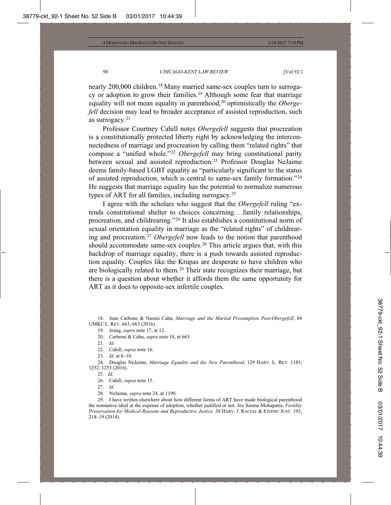nearly 200,000 children.<sup>18</sup> Many married same-sex couples turn to surrogacy or adoption to grow their families.<sup>19</sup> Although some fear that marriage equality will not mean equality in parenthood,<sup>20</sup> optimistically the *Obergefell* decision may lead to broader acceptance of assisted reproduction, such as surrogacy. $21$ 

Professor Courtney Cahill notes *Obergefell* suggests that procreation is a constitutionally protected liberty right by acknowledging the interconnectedness of marriage and procreation by calling them "related rights" that compose a "unified whole."22 *Obergefell* may bring constitutional parity between sexual and assisted reproduction.<sup>23</sup> Professor Douglas NeJaime deems family-based LGBT equality as "particularly significant to the status of assisted reproduction, which is central to same-sex family formation."24 He suggests that marriage equality has the potential to normalize numerous types of ART for all families, including surrogacy.25

I agree with the scholars who suggest that the *Obergefell* ruling "extends constitutional shelter to choices concerning. . .family relationships, procreation, and childrearing."26 It also establishes a constitutional norm of sexual orientation equality in marriage as the "related rights" of childrearing and procreation.27 *Obergefell* now leads to the notion that parenthood should accommodate same-sex couples.<sup>28</sup> This article argues that, with this backdrop of marriage equality, there is a push towards assisted reproduction equality. Couples like the Krupas are desperate to have children who are biologically related to them.<sup>29</sup> Their state recognizes their marriage, but there is a question about whether it affords them the same opportunity for ART as it does to opposite-sex infertile couples.

18. June Carbone & Naomi Cahn, *Marriage and the Marital Presumption Post-Obergefell*, 84 UMKC L. REV. 663, 663 (2016).

19. Jeang, *supra* note 17, at 12.

20. Carbone & Cahn, *supra* note 18, at 663.

22. Cahill, *supra* note 16.

23. *Id.* at 8–10.

24. Douglas NeJaime, *Marriage Equality and the New Parenthood*, 129 HARV. L. REV. 1185, 1252–1253 (2016).

25*. Id.*

26. Cahill, *supra* note 15.

27. *Id.*

28. NeJaime, *supra* note 24, at 1190.

29. I have written elsewhere about how different forms of ART have made biological parenthood the normative ideal at the expense of adoption, whether justified or not. *See* Seema Mohapatra, *Fertility Preservation for Medical Reasons and Reproductive Justice,* 30 HARV. J. RACIAL & ETHNIC JUST. 193, 218–19 (2014).

<sup>21.</sup> *Id.*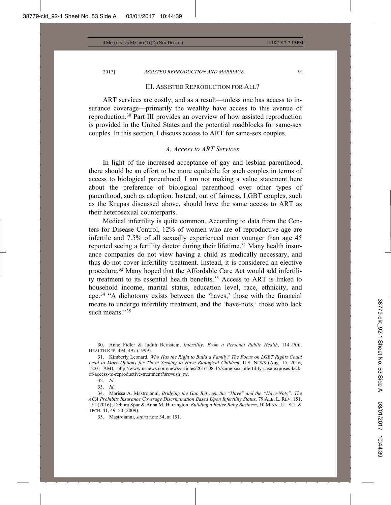#### III. ASSISTED REPRODUCTION FOR ALL?

ART services are costly, and as a result—unless one has access to insurance coverage—primarily the wealthy have access to this avenue of reproduction.30 Part III provides an overview of how assisted reproduction is provided in the United States and the potential roadblocks for same-sex couples. In this section, I discuss access to ART for same-sex couples.

## *A. Access to ART Services*

In light of the increased acceptance of gay and lesbian parenthood, there should be an effort to be more equitable for such couples in terms of access to biological parenthood. I am not making a value statement here about the preference of biological parenthood over other types of parenthood, such as adoption. Instead, out of fairness, LGBT couples, such as the Krupas discussed above, should have the same access to ART as their heterosexual counterparts.

Medical infertility is quite common. According to data from the Centers for Disease Control, 12% of women who are of reproductive age are infertile and 7.5% of all sexually experienced men younger than age 45 reported seeing a fertility doctor during their lifetime.<sup>31</sup> Many health insurance companies do not view having a child as medically necessary, and thus do not cover infertility treatment. Instead, it is considered an elective procedure.32 Many hoped that the Affordable Care Act would add infertility treatment to its essential health benefits.<sup>33</sup> Access to ART is linked to household income, marital status, education level, race, ethnicity, and age.34 "A dichotomy exists between the 'haves,' those with the financial means to undergo infertility treatment, and the 'have-nots,' those who lack such means."<sup>35</sup>

30. Anne Fidler & Judith Bernstein, *Infertility: From a Personal Public Health*, 114 PUB. HEALTH REP. 494, 497 (1999).

31. Kimberly Leonard, *Who Has the Right to Build a Family? The Focus on LGBT Rights Could Lead to More Options for Those Seeking to Have Biological Children*, U.S. NEWS (Aug. 15, 2016, 12:01 AM), http://www.usnews.com/news/articles/2016-08-15/same-sex-infertility-case-exposes-lackof-access-to-reproductive-treatment?src=usn\_tw.

32. *Id.*

33. *Id.*

34. Marissa A. Mastroianni, *Bridging the Gap Between the "Have" and the "Have-Nots": The ACA Prohibits Insurance Coverage Discrimination Based Upon Infertility Status*, 79 ALB. L. REV. 151, 151 (2016); Debora Spar & Anna M. Harrington, *Building a Better Baby Business*, 10 MINN. J.L. SCI. & TECH. 41, 49–50 (2009).

35. Mastroianni, *supra* note 34, at 151.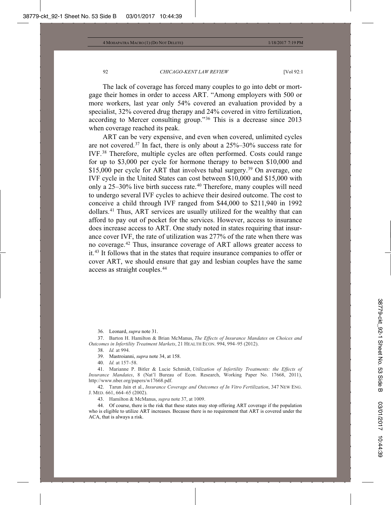The lack of coverage has forced many couples to go into debt or mortgage their homes in order to access ART. "Among employers with 500 or more workers, last year only 54% covered an evaluation provided by a specialist, 32% covered drug therapy and 24% covered in vitro fertilization, according to Mercer consulting group."36 This is a decrease since 2013 when coverage reached its peak.

ART can be very expensive, and even when covered, unlimited cycles are not covered.<sup>37</sup> In fact, there is only about a  $25\% - 30\%$  success rate for IVF.38 Therefore, multiple cycles are often performed. Costs could range for up to \$3,000 per cycle for hormone therapy to between \$10,000 and \$15,000 per cycle for ART that involves tubal surgery.<sup>39</sup> On average, one IVF cycle in the United States can cost between \$10,000 and \$15,000 with only a 25–30% live birth success rate.<sup>40</sup> Therefore, many couples will need to undergo several IVF cycles to achieve their desired outcome. The cost to conceive a child through IVF ranged from \$44,000 to \$211,940 in 1992 dollars.41 Thus, ART services are usually utilized for the wealthy that can afford to pay out of pocket for the services. However, access to insurance does increase access to ART. One study noted in states requiring that insurance cover IVF, the rate of utilization was 277% of the rate when there was no coverage.42 Thus, insurance coverage of ART allows greater access to it.43 It follows that in the states that require insurance companies to offer or cover ART, we should ensure that gay and lesbian couples have the same access as straight couples.44

36. Leonard, *supra* note 31.

37. Barton H. Hamilton & Brian McManus, *The Effects of Insurance Mandates on Choices and Outcomes in Infertility Treatment Markets*, 21 HEALTH ECON. 994, 994–95 (2012).

38. *Id.* at 994.

39. Mastroianni, *supra* note 34, at 158.

40. *Id.* at 157–58.

41. Marianne P. Bitler & Lucie Schmidt, *Utilization of Infertility Treatments: the Effects of Insurance Mandates*, 8 (Nat'l Bureau of Econ. Research, Working Paper No. 17668, 2011), http://www.nber.org/papers/w17668.pdf.

42. Tarun Jain et al., *Insurance Coverage and Outcomes of In Vitro Fertilization*, 347 NEW ENG. J. MED. 661, 664–65 (2002).

43. Hamilton & McManus, *supra* note 37, at 1009.

44. Of course, there is the risk that these states may stop offering ART coverage if the population who is eligible to utilize ART increases. Because there is no requirement that ART is covered under the ACA, that is always a risk.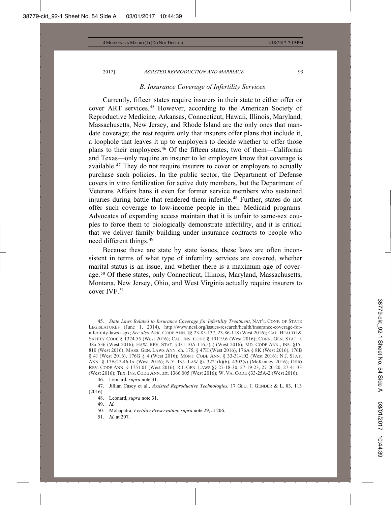#### *B. Insurance Coverage of Infertility Services*

Currently, fifteen states require insurers in their state to either offer or cover ART services.45 However, according to the American Society of Reproductive Medicine, Arkansas, Connecticut, Hawaii, Illinois, Maryland, Massachusetts, New Jersey, and Rhode Island are the only ones that mandate coverage; the rest require only that insurers offer plans that include it, a loophole that leaves it up to employers to decide whether to offer those plans to their employees.46 Of the fifteen states, two of them—California and Texas—only require an insurer to let employers know that coverage is available.47 They do not require insurers to cover or employers to actually purchase such policies. In the public sector, the Department of Defense covers in vitro fertilization for active duty members, but the Department of Veterans Affairs bans it even for former service members who sustained injuries during battle that rendered them infertile.<sup>48</sup> Further, states do not offer such coverage to low-income people in their Medicaid programs. Advocates of expanding access maintain that it is unfair to same-sex couples to force them to biologically demonstrate infertility, and it is critical that we deliver family building under insurance contracts to people who need different things.49

Because these are state by state issues, these laws are often inconsistent in terms of what type of infertility services are covered, whether marital status is an issue, and whether there is a maximum age of coverage.<sup>50</sup> Of these states, only Connecticut, Illinois, Maryland, Massachusetts, Montana, New Jersey, Ohio, and West Virginia actually require insurers to cover IVF.51

45. *State Laws Related to Insurance Coverage for Infertility Treatment*, NAT'L CONF. OF STATE LEGISLATURES (June 1, 2014), http://www.ncsl.org/issues-research/health/insurance-coverage-forinfertility-laws.aspx; *See also* ARK. CODE ANN. §§ 23-85-137, 23-86-118 (West 2016); CAL. HEALTH & SAFETY CODE § 1374.55 (West 2016); CAL. INS. CODE § 10119.6 (West 2016); CONN. GEN. STAT. § 38a-536 (West 2016); HAW. REV. STAT. §431:10A-116.5(a) (West 2016); MD. CODE ANN., INS. §15- 810 (West 2016); MASS. GEN. LAWS ANN. ch. 175, § 47H (West 2016), 176A § 8K (West 2016), 176B § 4J (West 2016), 176G § 4 (West 2016); MONT. CODE ANN. § 33-31-102 (West 2016); N.J. STAT. ANN. § 17B:27-46.1x (West 2016); N.Y. INS. LAW §§ 3221(k)(6), 4303(s) (McKinney 2016); OHIO REV. CODE ANN. § 1751.01 (West 2016); R.I. GEN. LAWS §§ 27-18-30, 27-19-23, 27-20-20, 27-41-33 (West 2016); TEX. INS. CODE ANN. art. 1366.005 (West 2016); W. VA. CODE §33-25A-2 (West 2016).

46. Leonard, *supra* note 31.

47. Jillian Casey et al., *Assisted Reproductive Technologies*, 17 GEO. J. GENDER & L. 83, 113  $(2016)$ .

- 48. Leonard, *supra* note 31.
- 49. *Id.*
- 50. Mohapatra, *Fertility Preservation*, *supra* note 29, at 206.
- 51. *Id.* at 207.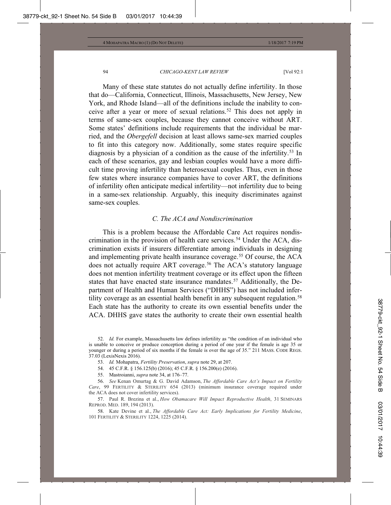Many of these state statutes do not actually define infertility. In those that do—California, Connecticut, Illinois, Massachusetts, New Jersey, New York, and Rhode Island—all of the definitions include the inability to conceive after a year or more of sexual relations.<sup>52</sup> This does not apply in terms of same-sex couples, because they cannot conceive without ART. Some states' definitions include requirements that the individual be married, and the *Obergefell* decision at least allows same-sex married couples to fit into this category now. Additionally, some states require specific diagnosis by a physician of a condition as the cause of the infertility.<sup>53</sup> In each of these scenarios, gay and lesbian couples would have a more difficult time proving infertility than heterosexual couples. Thus, even in those few states where insurance companies have to cover ART, the definitions of infertility often anticipate medical infertility—not infertility due to being in a same-sex relationship. Arguably, this inequity discriminates against same-sex couples.

#### *C. The ACA and Nondiscrimination*

This is a problem because the Affordable Care Act requires nondiscrimination in the provision of health care services.<sup>54</sup> Under the ACA, discrimination exists if insurers differentiate among individuals in designing and implementing private health insurance coverage.<sup>55</sup> Of course, the ACA does not actually require ART coverage.<sup>56</sup> The ACA's statutory language does not mention infertility treatment coverage or its effect upon the fifteen states that have enacted state insurance mandates.<sup>57</sup> Additionally, the Department of Health and Human Services ("DHHS") has not included infertility coverage as an essential health benefit in any subsequent regulation.<sup>58</sup> Each state has the authority to create its own essential benefits under the ACA. DHHS gave states the authority to create their own essential health

- 53. *Id.* Mohapatra, *Fertility Preservation*, *supra* note 29, at 207.
- 54. 45 C.F.R. § 156.125(b) (2016); 45 C.F.R. § 156.200(e) (2016).
- 55. Mastroianni, *supra* note 34, at 176–77.

56. *See* Kenan Omurtag & G. David Adamson, *The Affordable Care Act's Impact on Fertility Care*, 99 FERTILITY & STERILITY 654 (2013) (minimum insurance coverage required under the ACA does not cover infertility services).

57. Paul R. Brezina et al., *How Obamacare Will Impact Reproductive Health*, 31 SEMINARS REPROD. MED. 189, 194 (2013).

58. Kate Devine et al., *The Affordable Care Act: Early Implications for Fertility Medicine*, 101 FERTILITY & STERILITY 1224, 1225 (2014).

<sup>52.</sup> *Id.* For example, Massachusetts law defines infertility as "the condition of an individual who is unable to conceive or produce conception during a period of one year if the female is age 35 or younger or during a period of six months if the female is over the age of 35." 211 MASS. CODE REGS. 37.03 (LexisNexis 2016).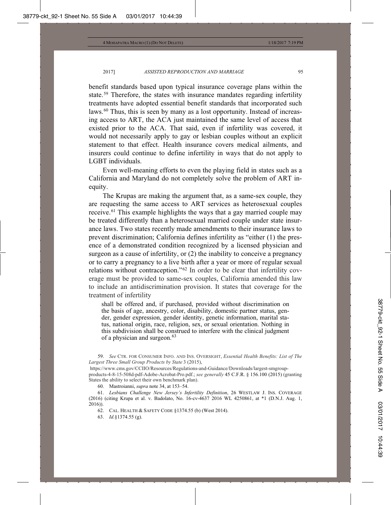benefit standards based upon typical insurance coverage plans within the state.59 Therefore, the states with insurance mandates regarding infertility treatments have adopted essential benefit standards that incorporated such laws.<sup>60</sup> Thus, this is seen by many as a lost opportunity. Instead of increasing access to ART, the ACA just maintained the same level of access that existed prior to the ACA. That said, even if infertility was covered, it would not necessarily apply to gay or lesbian couples without an explicit statement to that effect. Health insurance covers medical ailments, and insurers could continue to define infertility in ways that do not apply to LGBT individuals.

Even well-meaning efforts to even the playing field in states such as a California and Maryland do not completely solve the problem of ART inequity.

The Krupas are making the argument that, as a same-sex couple, they are requesting the same access to ART services as heterosexual couples receive.61 This example highlights the ways that a gay married couple may be treated differently than a heterosexual married couple under state insurance laws. Two states recently made amendments to their insurance laws to prevent discrimination; California defines infertility as "either (1) the presence of a demonstrated condition recognized by a licensed physician and surgeon as a cause of infertility, or (2) the inability to conceive a pregnancy or to carry a pregnancy to a live birth after a year or more of regular sexual relations without contraception."62 In order to be clear that infertility coverage must be provided to same-sex couples, California amended this law to include an antidiscrimination provision. It states that coverage for the treatment of infertility

shall be offered and, if purchased, provided without discrimination on the basis of age, ancestry, color, disability, domestic partner status, gender, gender expression, gender identity, genetic information, marital status, national origin, race, religion, sex, or sexual orientation. Nothing in this subdivision shall be construed to interfere with the clinical judgment of a physician and surgeon.<sup>63</sup>

<sup>59.</sup> *See* CTR. FOR CONSUMER INFO. AND INS. OVERSIGHT, *Essential Health Benefits: List of The Largest Three Small Group Products by State* 3 (2015),

https://www.cms.gov/CCIIO/Resources/Regulations-and-Guidance/Downloads/largest-smgroupproducts-4-8-15-508d-pdf-Adobe-Acrobat-Pro.pdf.; *see generally* 45 C.F.R. § 156.100 (2015) (granting States the ability to select their own benchmark plan).

<sup>60.</sup> Mastroianni, *supra* note 34, at 153–54.

<sup>61.</sup> *Lesbians Challenge New Jersey's Infertility Definition*, 26 WESTLAW J. INS. COVERAGE (2016) (citing Krupa et al. v. Badolato, No. 16-cv-4637 2016 WL 4250861, at \*1 (D.N.J. Aug. 1, 2016)).

<sup>62.</sup> CAL. HEALTH & SAFETY CODE §1374.55 (b) (West 2014).

<sup>63.</sup> *Id.*§1374.55 (g).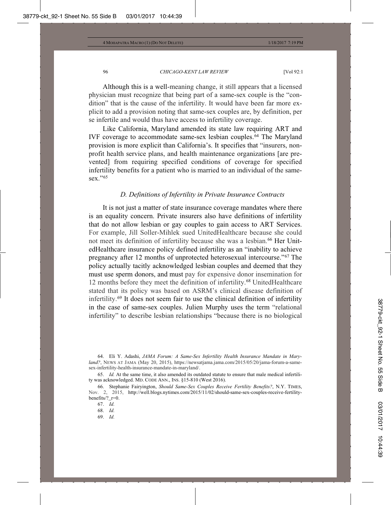Although this is a well-meaning change, it still appears that a licensed physician must recognize that being part of a same-sex couple is the "condition" that is the cause of the infertility. It would have been far more explicit to add a provision noting that same-sex couples are, by definition, per se infertile and would thus have access to infertility coverage.

Like California, Maryland amended its state law requiring ART and IVF coverage to accommodate same-sex lesbian couples.<sup>64</sup> The Maryland provision is more explicit than California's. It specifies that "insurers, nonprofit health service plans, and health maintenance organizations [are prevented] from requiring specified conditions of coverage for specified infertility benefits for a patient who is married to an individual of the samesex."<sup>65</sup>

#### *D. Definitions of Infertility in Private Insurance Contracts*

It is not just a matter of state insurance coverage mandates where there is an equality concern. Private insurers also have definitions of infertility that do not allow lesbian or gay couples to gain access to ART Services. For example, Jill Soller-Mihlek sued UnitedHealthcare because she could not meet its definition of infertility because she was a lesbian.<sup>66</sup> Her UnitedHealthcare insurance policy defined infertility as an "inability to achieve pregnancy after 12 months of unprotected heterosexual intercourse."67 The policy actually tacitly acknowledged lesbian couples and deemed that they must use sperm donors, and must pay for expensive donor insemination for 12 months before they meet the definition of infertility.<sup>68</sup> UnitedHealthcare stated that its policy was based on ASRM's clinical disease definition of infertility.69 It does not seem fair to use the clinical definition of infertility in the case of same-sex couples. Julien Murphy uses the term "relational infertility" to describe lesbian relationships "because there is no biological

64. Eli Y. Adashi, *JAMA Forum: A Same-Sex Infertility Health Insurance Mandate in Maryland?*, NEWS AT JAMA (May 20, 2015), https://newsatjama.jama.com/2015/05/20/jama-forum-a-samesex-infertility-health-insurance-mandate-in-maryland/.

65. *Id.* At the same time, it also amended its outdated statute to ensure that male medical infertility was acknowledged. MD. CODE ANN., INS. §15-810 (West 2016).

66. Stephanie Fairyington, *Should Same-Sex Couples Receive Fertility Benefits?*, N.Y. TIMES, Nov. 2, 2015, http://well.blogs.nytimes.com/2015/11/02/should-same-sex-couples-receive-fertilitybenefits/?\_r=0.

68. *Id.*

69. *Id.*

<sup>67.</sup> *Id.*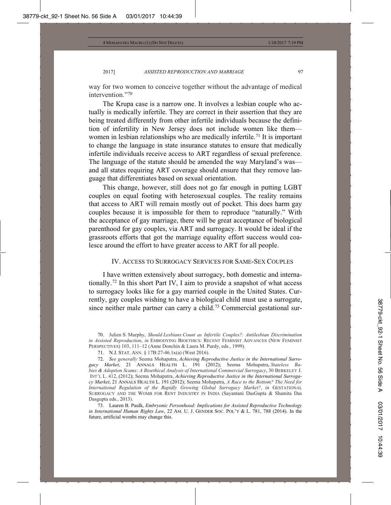way for two women to conceive together without the advantage of medical intervention."70

The Krupa case is a narrow one. It involves a lesbian couple who actually is medically infertile. They are correct in their assertion that they are being treated differently from other infertile individuals because the definition of infertility in New Jersey does not include women like them women in lesbian relationships who are medically infertile.<sup>71</sup> It is important to change the language in state insurance statutes to ensure that medically infertile individuals receive access to ART regardless of sexual preference. The language of the statute should be amended the way Maryland's was and all states requiring ART coverage should ensure that they remove language that differentiates based on sexual orientation.

This change, however, still does not go far enough in putting LGBT couples on equal footing with heterosexual couples. The reality remains that access to ART will remain mostly out of pocket. This does harm gay couples because it is impossible for them to reproduce "naturally." With the acceptance of gay marriage, there will be great acceptance of biological parenthood for gay couples, via ART and surrogacy. It would be ideal if the grassroots efforts that got the marriage equality effort success would coalesce around the effort to have greater access to ART for all people.

## IV. ACCESS TO SURROGACY SERVICES FOR SAME-SEX COUPLES

I have written extensively about surrogacy, both domestic and internationally.72 In this short Part IV, I aim to provide a snapshot of what access to surrogacy looks like for a gay married couple in the United States. Currently, gay couples wishing to have a biological child must use a surrogate, since neither male partner can carry a child.<sup>73</sup> Commercial gestational sur-

70. Julien S. Murphy, *Should Lesbians Count as Infertile Couples?: Antilesbian Discrimination in Assisted Reproduction*, *in* EMBODYING BIOETHICS: RECENT FEMINIST ADVANCES (NEW FEMINIST PERSPECTIVES) 103, 111–12 (Anne Donchin & Laura M. Purdy, eds., 1999).

73. Lauren B. Paulk, *Embryonic Personhood: Implications for Assisted Reproductive Technology in International Human Rights Law*, 22 AM. U. J. GENDER SOC. POL'Y & L. 781, 788 (2014). In the future, artificial wombs may change this.

<sup>71.</sup> N.J. STAT. ANN. § 17B:27-46.1x(a) (West 2016).

<sup>72.</sup> *See generally* Seema Mohapatra, *Achieving Reproductive Justice in the International Surrogacy Market*, 21 ANNALS HEALTH L. 191 (2012); Seema Mohapatra, *Stateless Babies & Adoption Scams: A Bioethical Analysis of International Commercial Surrogacy*, 30 BERKELEY J. INT'L L. 412, (2012); Seema Mohapatra, *Achieving Reproductive Justice in the International Surrogacy Market*, 21 ANNALS HEALTH L. 191 (2012); Seema Mohapatra, *A Race to the Bottom? The Need for International Regulation of the Rapidly Growing Global Surrogacy Market?*, *in* GESTATIONAL SURROGACY AND THE WOMB FOR RENT INDUSTRY IN INDIA (Sayantani DasGupta & Shamita Das Dasgupta eds., 2013).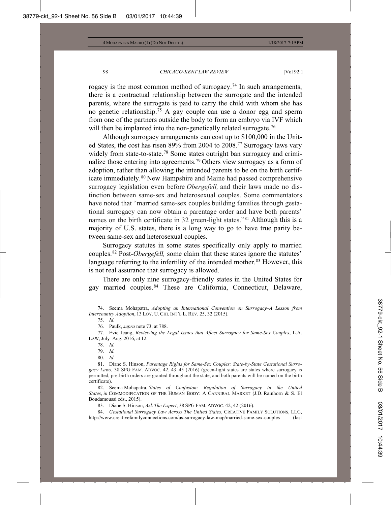rogacy is the most common method of surrogacy.74 In such arrangements, there is a contractual relationship between the surrogate and the intended parents, where the surrogate is paid to carry the child with whom she has no genetic relationship.75 A gay couple can use a donor egg and sperm from one of the partners outside the body to form an embryo via IVF which will then be implanted into the non-genetically related surrogate.<sup>76</sup>

Although surrogacy arrangements can cost up to \$100,000 in the United States, the cost has risen 89% from 2004 to 2008.77 Surrogacy laws vary widely from state-to-state.<sup>78</sup> Some states outright ban surrogacy and criminalize those entering into agreements.<sup>79</sup> Others view surrogacy as a form of adoption, rather than allowing the intended parents to be on the birth certificate immediately.80 New Hampshire and Maine had passed comprehensive surrogacy legislation even before *Obergefell,* and their laws made no distinction between same-sex and heterosexual couples. Some commentators have noted that "married same-sex couples building families through gestational surrogacy can now obtain a parentage order and have both parents' names on the birth certificate in 32 green-light states."<sup>81</sup> Although this is a majority of U.S. states, there is a long way to go to have true parity between same-sex and heterosexual couples.

Surrogacy statutes in some states specifically only apply to married couples.82 Post-*Obergefell,* some claim that these states ignore the statutes' language referring to the infertility of the intended mother.<sup>83</sup> However, this is not real assurance that surrogacy is allowed.

There are only nine surrogacy-friendly states in the United States for gay married couples.84 These are California, Connecticut, Delaware,

77. Evie Jeang, *Reviewing the Legal Issues that Affect Surrogacy for Same-Sex Couples*, L.A. LAW, July–Aug. 2016, at 12.

- 79. *Id.*
- 80. *Id.*

81. Diane S. Hinson, *Parentage Rights for Same-Sex Couples: State-by-State Gestational Surrogacy Laws*, 38 SPG FAM. ADVOC. 42, 43–45 (2016) (green-light states are states where surrogacy is permitted, pre-birth orders are granted throughout the state, and both parents will be named on the birth certificate).

82. Seema Mohapatra, *States of Confusion: Regulation of Surrogacy in the United States*, *in* COMMODIFICATION OF THE HUMAN BODY: A CANNIBAL MARKET (J.D. Rainhorn & S. El Boudamoussi eds., 2015).

83. Diane S. Hinson, *Ask The Expert*, 38 SPG FAM. ADVOC. 42, 42 (2016).

84. *Gestational Surrogacy Law Across The United States*, CREATIVE FAMILY SOLUTIONS, LLC, http://www.creativefamilyconnections.com/us-surrogacy-law-map/married-same-sex-couples (last

<sup>74.</sup> Seema Mohapatra, *Adopting an International Convention on Surrogacy–A Lesson from Intercountry Adoption*, 13 LOY. U. CHI. INT'L L. REV. 25, 32 (2015).

<sup>75.</sup> *Id.*

<sup>76.</sup> Paulk, *supra* note 73, at 788.

<sup>78.</sup> *Id.*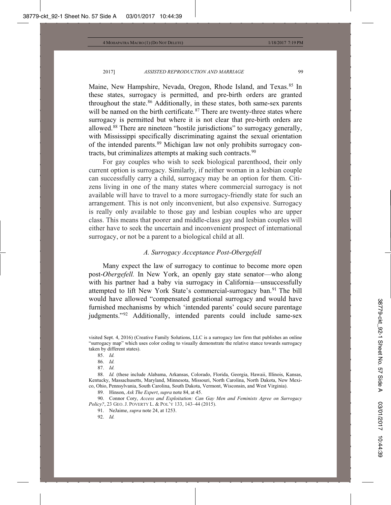Maine, New Hampshire, Nevada, Oregon, Rhode Island, and Texas.<sup>85</sup> In these states, surrogacy is permitted, and pre-birth orders are granted throughout the state. $86$  Additionally, in these states, both same-sex parents will be named on the birth certificate.<sup>87</sup> There are twenty-three states where surrogacy is permitted but where it is not clear that pre-birth orders are allowed.88 There are nineteen "hostile jurisdictions" to surrogacy generally, with Mississippi specifically discriminating against the sexual orientation of the intended parents.89 Michigan law not only prohibits surrogacy contracts, but criminalizes attempts at making such contracts.<sup>90</sup>

For gay couples who wish to seek biological parenthood, their only current option is surrogacy. Similarly, if neither woman in a lesbian couple can successfully carry a child, surrogacy may be an option for them. Citizens living in one of the many states where commercial surrogacy is not available will have to travel to a more surrogacy-friendly state for such an arrangement. This is not only inconvenient, but also expensive. Surrogacy is really only available to those gay and lesbian couples who are upper class. This means that poorer and middle-class gay and lesbian couples will either have to seek the uncertain and inconvenient prospect of international surrogacy, or not be a parent to a biological child at all.

### *A. Surrogacy Acceptance Post-Obergefell*

Many expect the law of surrogacy to continue to become more open post-*Obergefell.* In New York, an openly gay state senator—who along with his partner had a baby via surrogacy in California—unsuccessfully attempted to lift New York State's commercial-surrogacy ban.91 The bill would have allowed "compensated gestational surrogacy and would have furnished mechanisms by which 'intended parents' could secure parentage judgments."92 Additionally, intended parents could include same-sex

86. *Id.*

87. *Id.*

88. *Id.* (these include Alabama, Arkansas, Colorado, Florida, Georgia, Hawaii, Illinois, Kansas, Kentucky, Massachusetts, Maryland, Minnesota, Missouri, North Carolina, North Dakota, New Mexico, Ohio, Pennsylvania, South Carolina, South Dakota, Vermont, Wisconsin, and West Virginia).

89. Hinson, *Ask The Expert*, *supra* note 84, at 45.

90. Connor Cory, *Access and Exploitation: Can Gay Men and Feminists Agree on Surrogacy Policy?*, 23 GEO. J. POVERTY L. & POL'Y 133, 143–44 (2015).

91. NeJaime, *supra* note 24, at 1253.

92. *Id.*

visited Sept. 4, 2016) (Creative Family Solutions, LLC is a surrogacy law firm that publishes an online "surrogacy map" which uses color coding to visually demonstrate the relative stance towards surrogacy taken by different states).

<sup>85.</sup> *Id.*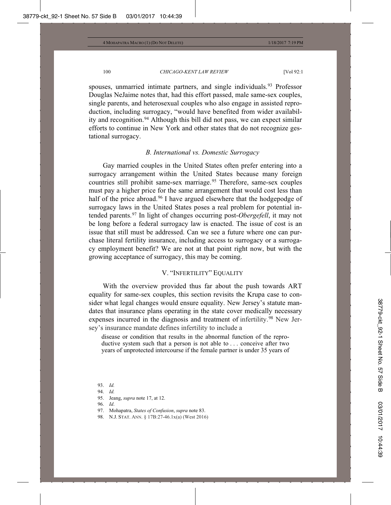spouses, unmarried intimate partners, and single individuals.<sup>93</sup> Professor Douglas NeJaime notes that, had this effort passed, male same-sex couples, single parents, and heterosexual couples who also engage in assisted reproduction, including surrogacy, "would have benefited from wider availability and recognition.<sup>94</sup> Although this bill did not pass, we can expect similar efforts to continue in New York and other states that do not recognize gestational surrogacy.

## *B. International vs. Domestic Surrogacy*

Gay married couples in the United States often prefer entering into a surrogacy arrangement within the United States because many foreign countries still prohibit same-sex marriage.<sup>95</sup> Therefore, same-sex couples must pay a higher price for the same arrangement that would cost less than half of the price abroad.<sup>96</sup> I have argued elsewhere that the hodgepodge of surrogacy laws in the United States poses a real problem for potential intended parents.97 In light of changes occurring post-*Obergefell*, it may not be long before a federal surrogacy law is enacted. The issue of cost is an issue that still must be addressed. Can we see a future where one can purchase literal fertility insurance, including access to surrogacy or a surrogacy employment benefit? We are not at that point right now, but with the growing acceptance of surrogacy, this may be coming.

## V. "INFERTILITY" EQUALITY

With the overview provided thus far about the push towards ART equality for same-sex couples, this section revisits the Krupa case to consider what legal changes would ensure equality. New Jersey's statute mandates that insurance plans operating in the state cover medically necessary expenses incurred in the diagnosis and treatment of infertility. <sup>98</sup> New Jersey's insurance mandate defines infertility to include a

disease or condition that results in the abnormal function of the reproductive system such that a person is not able to . . . conceive after two years of unprotected intercourse if the female partner is under 35 years of

<sup>93.</sup> *Id.*

<sup>94.</sup> *Id.*

<sup>95.</sup> Jeang, *supra* note 17, at 12.

<sup>96.</sup> *Id*.

<sup>97.</sup> Mohapatra, *States of Confusion*, *supra* note 83.

<sup>98.</sup> N.J. STAT. ANN. § 17B:27-46.1x(a) (West 2016)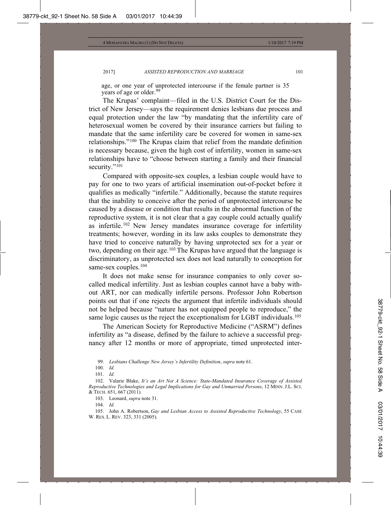age, or one year of unprotected intercourse if the female partner is 35 years of age or older.<sup>99</sup>

The Krupas' complaint—filed in the U.S. District Court for the District of New Jersey—says the requirement denies lesbians due process and equal protection under the law "by mandating that the infertility care of heterosexual women be covered by their insurance carriers but failing to mandate that the same infertility care be covered for women in same-sex relationships."100 The Krupas claim that relief from the mandate definition is necessary because, given the high cost of infertility, women in same-sex relationships have to "choose between starting a family and their financial security."<sup>101</sup>

Compared with opposite-sex couples, a lesbian couple would have to pay for one to two years of artificial insemination out-of-pocket before it qualifies as medically "infertile." Additionally, because the statute requires that the inability to conceive after the period of unprotected intercourse be caused by a disease or condition that results in the abnormal function of the reproductive system, it is not clear that a gay couple could actually qualify as infertile.102 New Jersey mandates insurance coverage for infertility treatments; however, wording in its law asks couples to demonstrate they have tried to conceive naturally by having unprotected sex for a year or two, depending on their age.<sup>103</sup> The Krupas have argued that the language is discriminatory, as unprotected sex does not lead naturally to conception for same-sex couples.<sup>104</sup>

It does not make sense for insurance companies to only cover socalled medical infertility. Just as lesbian couples cannot have a baby without ART, nor can medically infertile persons. Professor John Robertson points out that if one rejects the argument that infertile individuals should not be helped because "nature has not equipped people to reproduce," the same logic causes us the reject the exceptionalism for LGBT individuals.<sup>105</sup>

The American Society for Reproductive Medicine ("ASRM") defines infertility as "a disease, defined by the failure to achieve a successful pregnancy after 12 months or more of appropriate, timed unprotected inter-

100. *Id.*

103. Leonard, *supra* note 31.

104. *Id.*

105. John A. Robertson, *Gay and Lesbian Access to Assisted Reproductive Technology*, 55 CASE W. RES. L. REV. 323, 331 (2005).

<sup>99.</sup> *Lesbians Challenge New Jersey's Infertility Definition*, *supra* note 61.

<sup>101.</sup> *Id.*

<sup>102.</sup> Valarie Blake, *It's an Art Not A Science: State-Mandated Insurance Coverage of Assisted Reproductive Technologies and Legal Implications for Gay and Unmarried Persons*, 12 MINN. J.L. SCI. & TECH. 651, 667 (2011).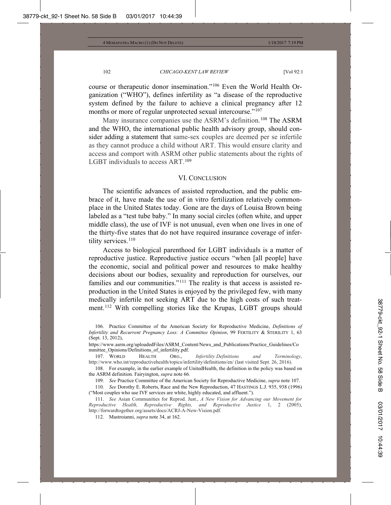course or therapeutic donor insemination."106 Even the World Health Organization ("WHO"), defines infertility as "a disease of the reproductive system defined by the failure to achieve a clinical pregnancy after 12 months or more of regular unprotected sexual intercourse."<sup>107</sup>

Many insurance companies use the ASRM's definition.<sup>108</sup> The ASRM and the WHO, the international public health advisory group, should consider adding a statement that same-sex couples are deemed per se infertile as they cannot produce a child without ART. This would ensure clarity and access and comport with ASRM other public statements about the rights of LGBT individuals to access ART.<sup>109</sup>

#### VI. CONCLUSION

The scientific advances of assisted reproduction, and the public embrace of it, have made the use of in vitro fertilization relatively commonplace in the United States today. Gone are the days of Louisa Brown being labeled as a "test tube baby." In many social circles (often white, and upper middle class), the use of IVF is not unusual, even when one lives in one of the thirty-five states that do not have required insurance coverage of infertility services.<sup>110</sup>

Access to biological parenthood for LGBT individuals is a matter of reproductive justice. Reproductive justice occurs "when [all people] have the economic, social and political power and resources to make healthy decisions about our bodies, sexuality and reproduction for ourselves, our families and our communities."111 The reality is that access is assisted reproduction in the United States is enjoyed by the privileged few, with many medically infertile not seeking ART due to the high costs of such treatment.112 With compelling stories like the Krupas, LGBT groups should

<sup>106.</sup> Practice Committee of the American Society for Reproductive Medicine, *Definitions of Infertility and Recurrent Pregnancy Loss: A Committee Opinion*, 99 FERTILITY & STERILITY 1, 63 (Sept. 13, 2012),

https://www.asrm.org/uploadedFiles/ASRM\_Content/News\_and\_Publications/Practice\_Guidelines/Co mmittee\_Opinions/Definitions\_of\_infertility.pdf.<br>107. WORLD HEALTH ORG.,

HEALTH ORG., *Infertility Definitions and Terminology*, http://www.who.int/reproductivehealth/topics/infertility/definitions/en/ (last visited Sept. 26, 2016).

<sup>108.</sup> For example, in the earlier example of UnitedHealth, the definition in the policy was based on the ASRM definition. Fairyington, *supra* note 66.

<sup>109.</sup> *See* Practice Committee of the American Society for Reproductive Medicine, *supra* note 107.

<sup>110.</sup> *See* Dorothy E. Roberts, Race and the New Reproduction, 47 HASTINGS L.J. 935, 938 (1996) ("Most couples who use IVF services are white, highly educated, and affluent.").

<sup>111.</sup> *See* Asian Communities for Reprod. Just., *A New Vision for Advancing our Movement for Reproductive Health, Reproductive Rights, and Reproductive Justice* 1, 2 (2005), http://forwardtogether.org/assets/docs/ACRJ-A-New-Vision.pdf.

<sup>112.</sup> Mastroianni, *supra* note 34, at 162.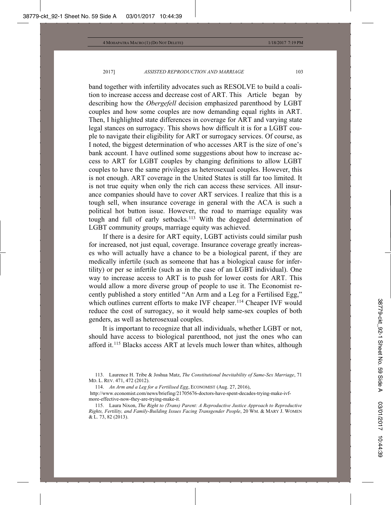band together with infertility advocates such as RESOLVE to build a coalition to increase access and decrease cost of ART. This Article began by describing how the *Obergefell* decision emphasized parenthood by LGBT couples and how some couples are now demanding equal rights in ART. Then, I highlighted state differences in coverage for ART and varying state legal stances on surrogacy. This shows how difficult it is for a LGBT couple to navigate their eligibility for ART or surrogacy services. Of course, as I noted, the biggest determination of who accesses ART is the size of one's bank account. I have outlined some suggestions about how to increase access to ART for LGBT couples by changing definitions to allow LGBT couples to have the same privileges as heterosexual couples. However, this is not enough. ART coverage in the United States is still far too limited. It is not true equity when only the rich can access these services. All insurance companies should have to cover ART services. I realize that this is a tough sell, when insurance coverage in general with the ACA is such a political hot button issue. However, the road to marriage equality was tough and full of early setbacks.<sup>113</sup> With the dogged determination of LGBT community groups, marriage equity was achieved.

If there is a desire for ART equity, LGBT activists could similar push for increased, not just equal, coverage. Insurance coverage greatly increases who will actually have a chance to be a biological parent, if they are medically infertile (such as someone that has a biological cause for infertility) or per se infertile (such as in the case of an LGBT individual). One way to increase access to ART is to push for lower costs for ART. This would allow a more diverse group of people to use it. The Economist recently published a story entitled "An Arm and a Leg for a Fertilised Egg," which outlines current efforts to make IVF cheaper.<sup>114</sup> Cheaper IVF would reduce the cost of surrogacy, so it would help same-sex couples of both genders, as well as heterosexual couples.

It is important to recognize that all individuals, whether LGBT or not, should have access to biological parenthood, not just the ones who can afford it.115 Blacks access ART at levels much lower than whites, although

113. Laurence H. Tribe & Joshua Matz, *The Constitutional Inevitability of Same-Sex Marriage*, 71 MD. L. REV. 471, 472 (2012).

<sup>114.</sup> *An Arm and a Leg for a Fertilised Egg*, ECONOMIST (Aug. 27, 2016),

http://www.economist.com/news/briefing/21705676-doctors-have-spent-decades-trying-make-ivfmore-effective-now-they-are-trying-make-it.

<sup>115.</sup> Laura Nixon, *The Right to (Trans) Parent: A Reproductive Justice Approach to Reproductive Rights, Fertility, and Family-Building Issues Facing Transgender People*, 20 WM.&MARY J. WOMEN & L. 73, 82 (2013).